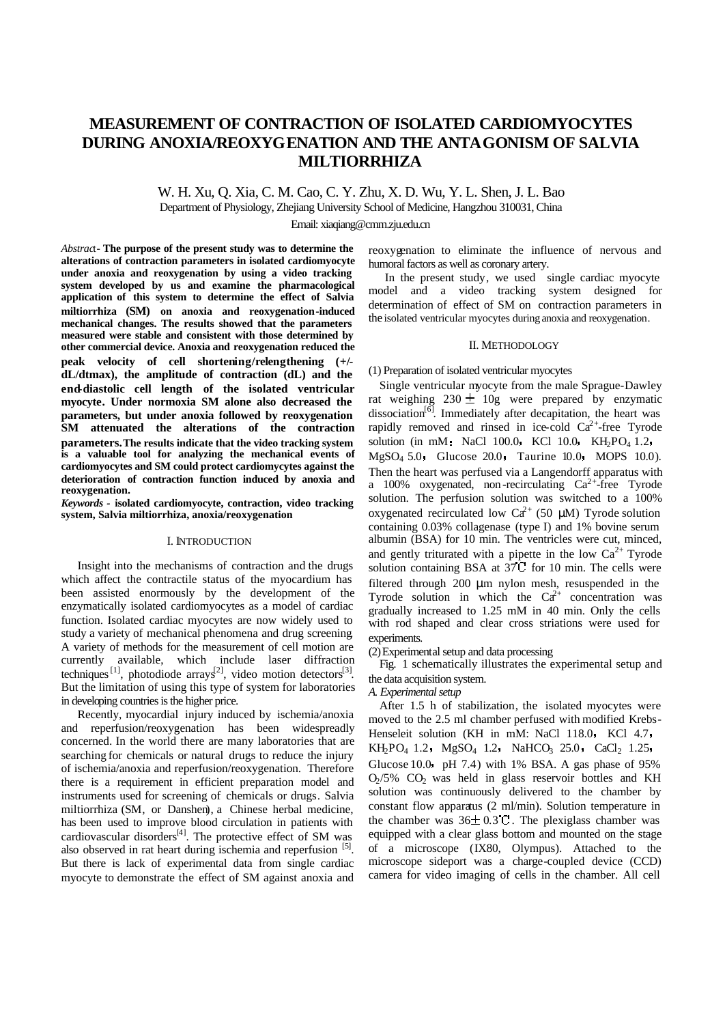# **MEASUREMENT OF CONTRACTION OF ISOLATED CARDIOMYOCYTES DURING ANOXIA/REOXYGENATION AND THE ANTAGONISM OF SALVIA MILTIORRHIZA**

W. H. Xu, Q. Xia, C. M. Cao, C. Y. Zhu, X. D. Wu, Y. L. Shen, J. L. Bao Department of Physiology, Zhejiang University School of Medicine, Hangzhou 310031, China

Email: xiaqiang@cmm.zju.edu.cn

*Abstrac*t- **The purpose of the present study was to determine the alterations of contraction parameters in isolated cardiomyocyte under anoxia and reoxygenation by using a video tracking system developed by us and examine the pharmacological application of this system to determine the effect of Salvia miltiorrhiza (SM) on anoxia and reoxygenation-induced mechanical changes. The results showed that the parameters measured were stable and consistent with those determined by other commercial device. Anoxia and reoxygenation reduced the peak velocity of cell shortening/relengthening (+/ dL/dtmax), the amplitude of contraction (dL) and the end-diastolic cell length of the isolated ventricular myocyte. Under normoxia SM alone also decreased the parameters, but under anoxia followed by reoxygenation SM attenuated the alterations of the contraction parameters.The results indicate that the video tracking system is a valuable tool for analyzing the mechanical events of cardiomyocytes and SM could protect cardiomycytes against the deterioration of contraction function induced by anoxia and reoxygenation.**

*Keywords -* **isolated cardiomyocyte, contraction, video tracking system, Salvia miltiorrhiza, anoxia/reoxygenation**

#### I. INTRODUCTION

Insight into the mechanisms of contraction and the drugs which affect the contractile status of the myocardium has been assisted enormously by the development of the enzymatically isolated cardiomyocytes as a model of cardiac function. Isolated cardiac myocytes are now widely used to study a variety of mechanical phenomena and drug screening. A variety of methods for the measurement of cell motion are currently available, which include laser diffraction techniques<sup>[1]</sup>, photodiode arrays<sup>[2]</sup>, video motion detectors<sup>[3]</sup>. But the limitation of using this type of system for laboratories in developing countries is the higher price.

Recently, myocardial injury induced by ischemia/anoxia and reperfusion/reoxygenation has been widespreadly concerned. In the world there are many laboratories that are searching for chemicals or natural drugs to reduce the injury of ischemia/anoxia and reperfusion/reoxygenation. Therefore there is a requirement in efficient preparation model and instruments used for screening of chemicals or drugs. Salvia miltiorrhiza (SM, or Danshen), a Chinese herbal medicine, has been used to improve blood circulation in patients with cardiovascular disorders<sup>[4]</sup>. The protective effect of SM was also observed in rat heart during ischemia and reperfusion [5]. But there is lack of experimental data from single cardiac myocyte to demonstrate the effect of SM against anoxia and

reoxygenation to eliminate the influence of nervous and humoral factors as well as coronary artery.

In the present study, we used single cardiac myocyte model and a video tracking system designed for determination of effect of SM on contraction parameters in the isolated ventricular myocytes during anoxia and reoxygenation.

## II. METHODOLOGY

#### (1) Preparation of isolated ventricular myocytes

Single ventricular myocyte from the male Sprague-Dawley rat weighing  $230 \pm 10$ g were prepared by enzymatic dissociation<sup>[6]</sup>. Immediately after decapitation, the heart was rapidly removed and rinsed in ice-cold  $Ca^{2+}$ -free Tyrode solution (in mM: NaCl 100.0 KCl 10.0 KH<sub>2</sub>PO<sub>4</sub> 1.2.  $MgSO<sub>4</sub> 5.0$  Glucose 20.0 Taurine 10.0 MOPS 10.0). Then the heart was perfused via a Langendorff apparatus with a 100% oxygenated, non-recirculating  $Ca^{2+}$ -free Tyrode solution. The perfusion solution was switched to a 100% oxygenated recirculated low Ca<sup>2+</sup> (50 μM) Tyrode solution containing 0.03% collagenase (type I) and 1% bovine serum albumin (BSA) for 10 min. The ventricles were cut, minced, and gently triturated with a pipette in the low  $Ca^{2+}$  Tyrode solution containing BSA at  $37\text{ C}$  for 10 min. The cells were filtered through 200 μm nylon mesh, resuspended in the Tyrode solution in which the  $Ca^{2+}$  concentration was gradually increased to 1.25 mM in 40 min. Only the cells with rod shaped and clear cross striations were used for experiments.

(2) Experimental setup and data processing

Fig. 1 schematically illustrates the experimental setup and the data acquisition system.

*A. Experimental setup*

After 1.5 h of stabilization, the isolated myocytes were moved to the 2.5 ml chamber perfused with modified Krebs-Henseleit solution (KH in mM: NaCl 118.0 KCl 4.7  $KH_2PO_4$  1.2  $MgSO_4$  1.2 NaHCO<sub>3</sub> 25.0 CaCl<sub>2</sub> 1.25 Glucose 10.0 pH 7.4) with 1% BSA. A gas phase of  $95\%$  $O<sub>2</sub>/5\%$   $CO<sub>2</sub>$  was held in glass reservoir bottles and KH solution was continuously delivered to the chamber by constant flow apparatus (2 ml/min). Solution temperature in the chamber was  $36\pm 0.3$  °C. The plexiglass chamber was equipped with a clear glass bottom and mounted on the stage of a microscope (IX80, Olympus). Attached to the microscope sideport was a charge-coupled device (CCD) camera for video imaging of cells in the chamber. All cell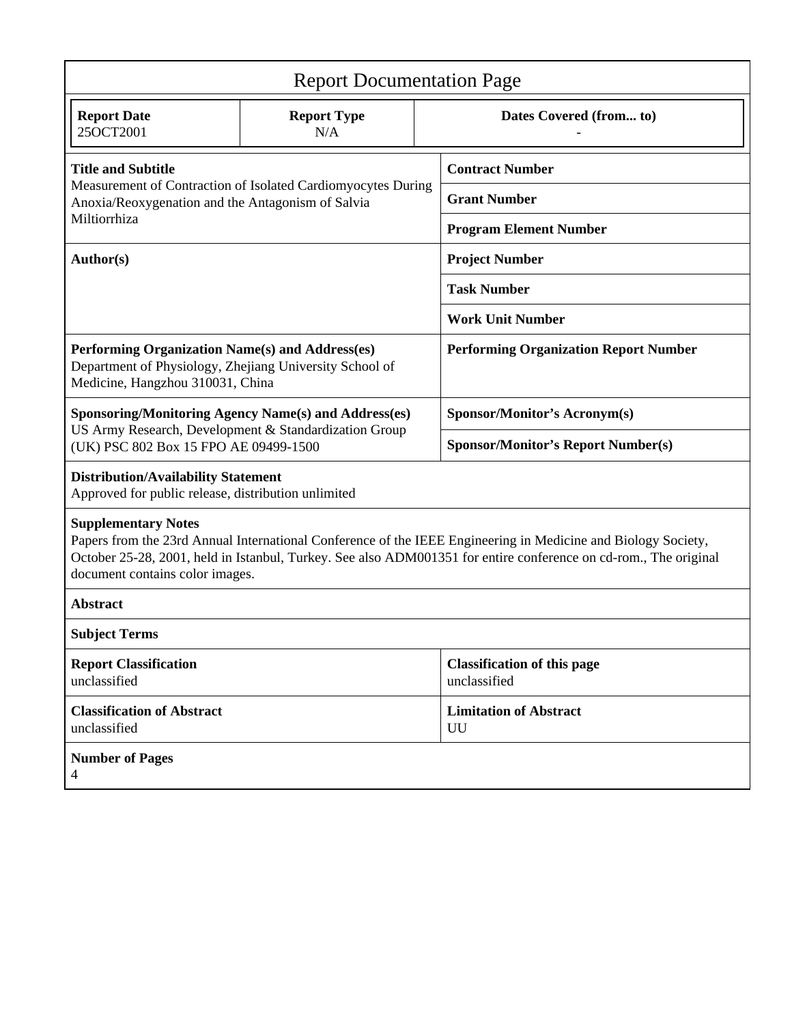| <b>Report Documentation Page</b>                                                                                                                                                                                                                                                                   |                           |                                                      |                                              |  |
|----------------------------------------------------------------------------------------------------------------------------------------------------------------------------------------------------------------------------------------------------------------------------------------------------|---------------------------|------------------------------------------------------|----------------------------------------------|--|
| <b>Report Date</b><br>25OCT2001                                                                                                                                                                                                                                                                    | <b>Report Type</b><br>N/A |                                                      | Dates Covered (from to)                      |  |
| <b>Title and Subtitle</b><br>Measurement of Contraction of Isolated Cardiomyocytes During                                                                                                                                                                                                          |                           |                                                      | <b>Contract Number</b>                       |  |
| Anoxia/Reoxygenation and the Antagonism of Salvia<br>Miltiorrhiza                                                                                                                                                                                                                                  |                           | <b>Grant Number</b><br><b>Program Element Number</b> |                                              |  |
| Author(s)                                                                                                                                                                                                                                                                                          |                           | <b>Project Number</b>                                |                                              |  |
|                                                                                                                                                                                                                                                                                                    |                           | <b>Task Number</b>                                   |                                              |  |
|                                                                                                                                                                                                                                                                                                    |                           | <b>Work Unit Number</b>                              |                                              |  |
| Performing Organization Name(s) and Address(es)<br>Department of Physiology, Zhejiang University School of<br>Medicine, Hangzhou 310031, China                                                                                                                                                     |                           |                                                      | <b>Performing Organization Report Number</b> |  |
| <b>Sponsoring/Monitoring Agency Name(s) and Address(es)</b>                                                                                                                                                                                                                                        |                           |                                                      | Sponsor/Monitor's Acronym(s)                 |  |
| US Army Research, Development & Standardization Group<br>(UK) PSC 802 Box 15 FPO AE 09499-1500                                                                                                                                                                                                     |                           | <b>Sponsor/Monitor's Report Number(s)</b>            |                                              |  |
| <b>Distribution/Availability Statement</b><br>Approved for public release, distribution unlimited                                                                                                                                                                                                  |                           |                                                      |                                              |  |
| <b>Supplementary Notes</b><br>Papers from the 23rd Annual International Conference of the IEEE Engineering in Medicine and Biology Society,<br>October 25-28, 2001, held in Istanbul, Turkey. See also ADM001351 for entire conference on cd-rom., The original<br>document contains color images. |                           |                                                      |                                              |  |
| Abstract                                                                                                                                                                                                                                                                                           |                           |                                                      |                                              |  |
| <b>Subject Terms</b>                                                                                                                                                                                                                                                                               |                           |                                                      |                                              |  |
| <b>Report Classification</b><br>unclassified                                                                                                                                                                                                                                                       |                           | <b>Classification of this page</b><br>unclassified   |                                              |  |
| <b>Classification of Abstract</b><br>unclassified                                                                                                                                                                                                                                                  |                           | <b>Limitation of Abstract</b><br>UU                  |                                              |  |
| <b>Number of Pages</b><br>4                                                                                                                                                                                                                                                                        |                           |                                                      |                                              |  |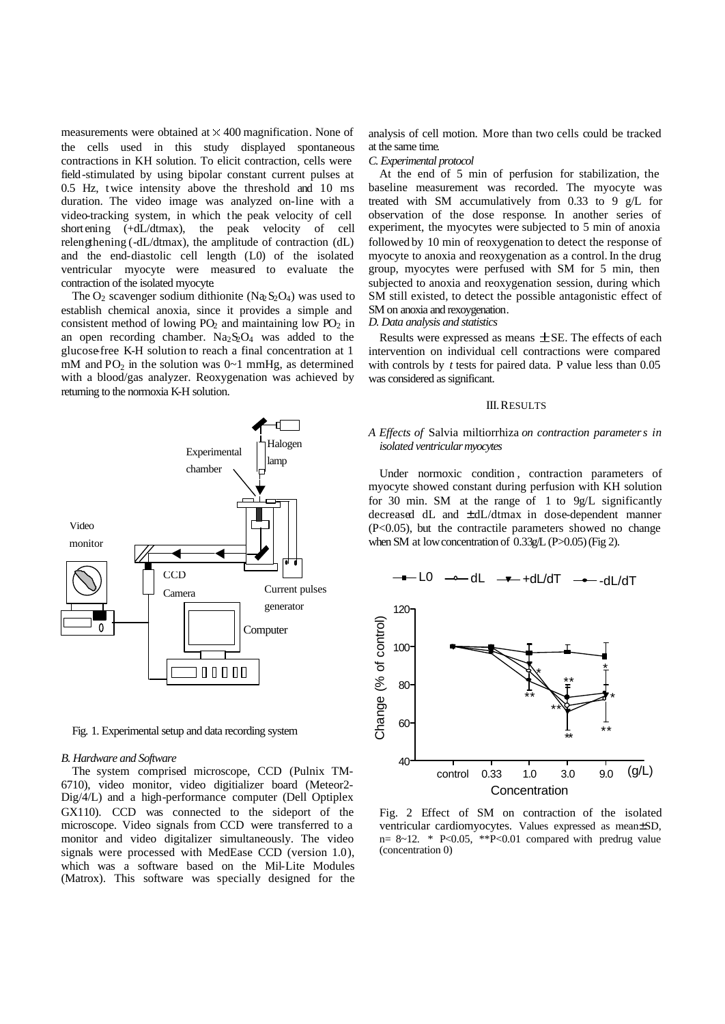measurements were obtained at  $\times$  400 magnification. None of the cells used in this study displayed spontaneous contractions in KH solution. To elicit contraction, cells were field-stimulated by using bipolar constant current pulses at 0.5 Hz, twice intensity above the threshold and 10 ms duration. The video image was analyzed on-line with a video-tracking system, in which the peak velocity of cell short ening (+dL/dtmax), the peak velocity of cell relengthening (-dL/dtmax), the amplitude of contraction (dL) and the end-diastolic cell length (L0) of the isolated ventricular myocyte were measured to evaluate the contraction of the isolated myocyte.

The  $O_2$  scavenger sodium dithionite (Na<sub>2</sub>S<sub>2</sub>O<sub>4</sub>) was used to establish chemical anoxia, since it provides a simple and consistent method of lowing  $PO_2$  and maintaining low  $PO_2$  in an open recording chamber.  $Na<sub>2</sub>S<sub>2</sub>O<sub>4</sub>$  was added to the glucose free K-H solution to reach a final concentration at 1 mM and  $PO_2$  in the solution was  $0\nu$ 1 mmHg, as determined with a blood/gas analyzer. Reoxygenation was achieved by returning to the normoxia K-H solution.



Fig. 1. Experimental setup and data recording system

#### *B. Hardware and Software*

The system comprised microscope, CCD (Pulnix TM-6710), video monitor, video digitializer board (Meteor2- Dig/4/L) and a high-performance computer (Dell Optiplex GX110). CCD was connected to the sideport of the microscope. Video signals from CCD were transferred to a monitor and video digitalizer simultaneously. The video signals were processed with MedEase CCD (version 1.0), which was a software based on the Mil-Lite Modules (Matrox). This software was specially designed for the analysis of cell motion. More than two cells could be tracked at the same time.

#### *C. Experimental protocol*

At the end of 5 min of perfusion for stabilization, the baseline measurement was recorded. The myocyte was treated with SM accumulatively from 0.33 to 9 g/L for observation of the dose response. In another series of experiment, the myocytes were subjected to 5 min of anoxia followed by 10 min of reoxygenation to detect the response of myocyte to anoxia and reoxygenation as a control. In the drug group, myocytes were perfused with SM for 5 min, then subjected to anoxia and reoxygenation session, during which SM still existed, to detect the possible antagonistic effect of SM on anoxia and rexoygenation.

#### *D. Data analysis and statistics*

Results were expressed as means  $\pm$  SE. The effects of each intervention on individual cell contractions were compared with controls by *t* tests for paired data. P value less than 0.05 was considered as significant.

#### III. RESULTS

## *A Effects of* Salvia miltiorrhiza *on contraction parameters in isolated ventricular myocytes*

Under normoxic condition, contraction parameters of myocyte showed constant during perfusion with KH solution for 30 min. SM at the range of 1 to 9g/L significantly decreased dL and ± dL/dtmax in dose-dependent manner (P<0.05), but the contractile parameters showed no change when SM at low concentration of 0.33g/L (P>0.05) (Fig 2).



Fig. 2 Effect of SM on contraction of the isolated ventricular cardiomyocytes. Values expressed as mean±SD, n=  $8 \sim 12$ . \* P<0.05, \*\*P<0.01 compared with predrug value (concentration 0)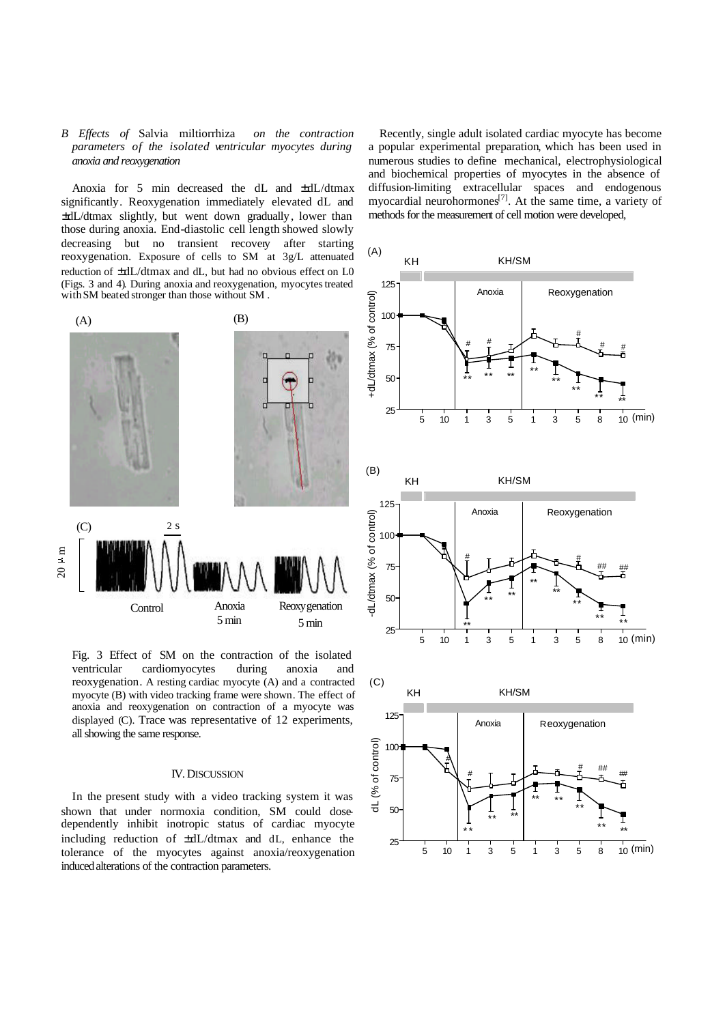# *B Effects of* Salvia miltiorrhiza *on the contraction parameters of the isolated ventricular myocytes during anoxia and reoxygenation*

Anoxia for 5 min decreased the dL and ±dL/dtmax significantly. Reoxygenation immediately elevated dL and ±dL/dtmax slightly, but went down gradually , lower than those during anoxia. End-diastolic cell length showed slowly decreasing but no transient recovery after starting reoxygenation. Exposure of cells to SM at 3g/L attenuated reduction of ±dL/dtmax and dL, but had no obvious effect on L0 (Figs. 3 and 4). During anoxia and reoxygenation, myocytes treated with SM beated stronger than those without SM .



Fig. 3 Effect of SM on the contraction of the isolated ventricular cardiomyocytes during anoxia and reoxygenation. A resting cardiac myocyte (A) and a contracted myocyte (B) with video tracking frame were shown. The effect of anoxia and reoxygenation on contraction of a myocyte was displayed (C). Trace was representative of 12 experiments, all showing the same response.

## IV. DISCUSSION

In the present study with a video tracking system it was shown that under normoxia condition, SM could dosedependently inhibit inotropic status of cardiac myocyte including reduction of ±dL/dtmax and dL, enhance the tolerance of the myocytes against anoxia/reoxygenation induced alterations of the contraction parameters.

Recently, single adult isolated cardiac myocyte has become a popular experimental preparation, which has been used in numerous studies to define mechanical, electrophysiological and biochemical properties of myocytes in the absence of diffusion-limiting extracellular spaces and endogenous myocardial neurohormones<sup>[7]</sup>. At the same time, a variety of methods for the measurement of cell motion were developed,